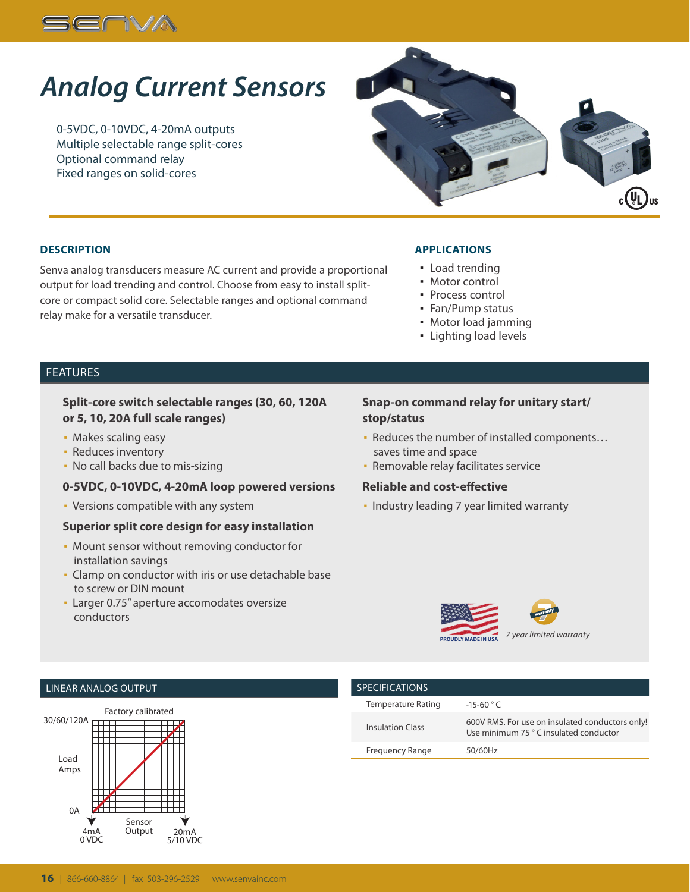

# *Analog Current Sensors*

0-5VDC, 0-10VDC, 4-20mA outputs Multiple selectable range split-cores Optional command relay Fixed ranges on solid-cores



#### **DESCRIPTION**

Senva analog transducers measure AC current and provide a proportional output for load trending and control. Choose from easy to install splitcore or compact solid core. Selectable ranges and optional command relay make for a versatile transducer.

#### **APPLICATIONS**

- **Load trending**
- Motor control
- Process control
- Fan/Pump status
- Motor load jamming
- Lighting load levels

### FEATURES

#### **Split-core switch selectable ranges (30, 60, 120A or 5, 10, 20A full scale ranges)**

- **Makes scaling easy**
- **Reduces inventory**
- No call backs due to mis-sizing

#### **0-5VDC, 0-10VDC, 4-20mA loop powered versions**

▪ Versions compatible with any system

#### **Superior split core design for easy installation**

- Mount sensor without removing conductor for installation savings
- Clamp on conductor with iris or use detachable base to screw or DIN mount
- **Larger 0.75" aperture accomodates oversize** conductors

### **Snap-on command relay for unitary start/ stop/status**

- Reduces the number of installed components… saves time and space
- **· Removable relay facilitates service**

#### **Reliable and cost-effective**

▪ Industry leading 7 year limited warranty



#### LINEAR ANALOG OUTPUT



| <b>SPECIFICATIONS</b>     |                                                                                          |
|---------------------------|------------------------------------------------------------------------------------------|
| <b>Temperature Rating</b> | $-15-60$ ° C                                                                             |
| <b>Insulation Class</b>   | 600V RMS. For use on insulated conductors only!<br>Use minimum 75 °C insulated conductor |
| Frequency Range           | 50/60Hz                                                                                  |